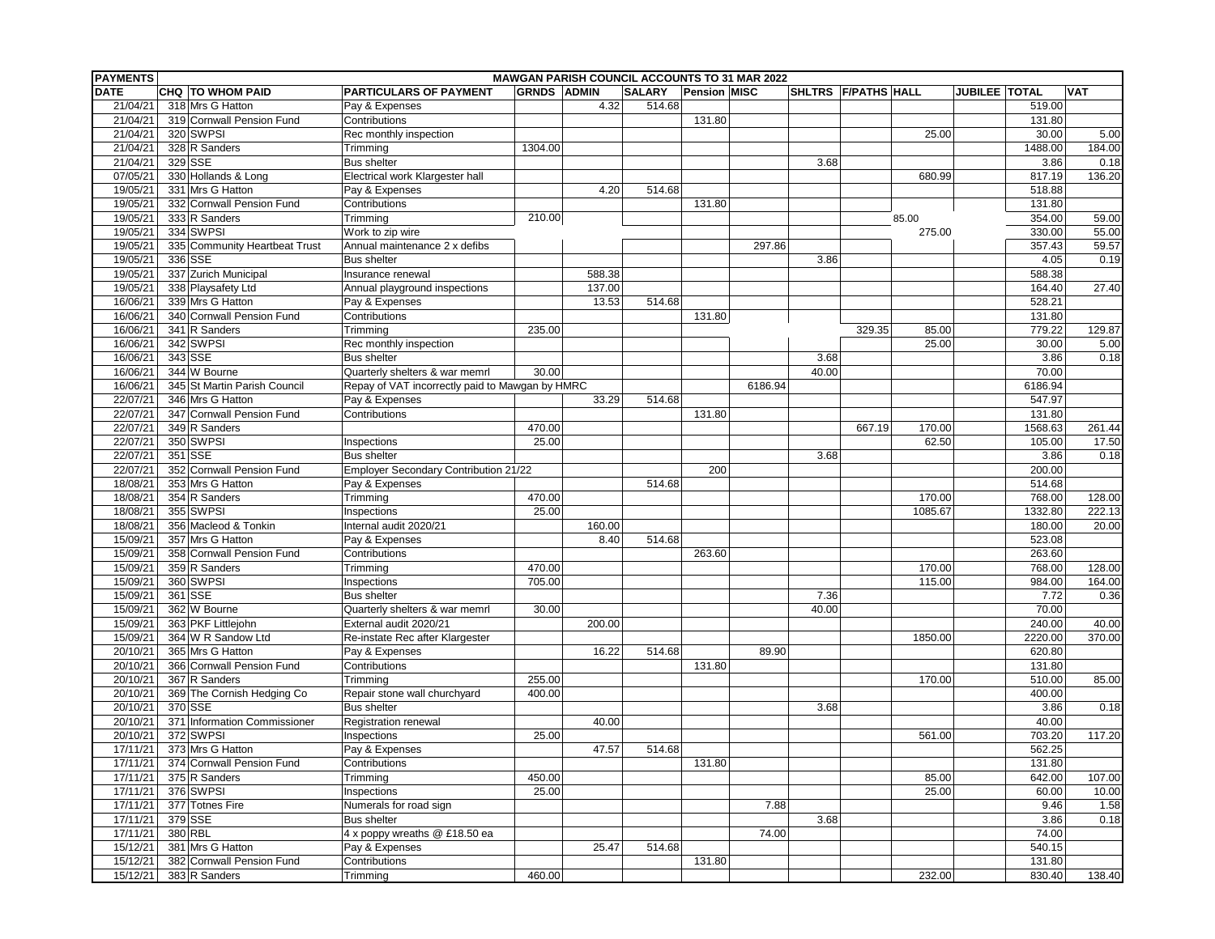| <b>GRNDS ADMIN</b><br>JUBILEE   TOTAL<br><b>VAT</b><br>CHQ TO WHOM PAID<br><b>PARTICULARS OF PAYMENT</b><br><b>SALARY</b><br><b>Pension MISC</b><br>SHLTRS F/PATHS HALL<br>21/04/21<br>318 Mrs G Hatton<br>4.32<br>514.68<br>519.00<br>Pay & Expenses<br>21/04/21<br>131.80<br>319 Cornwall Pension Fund<br>Contributions<br>131.80<br>21/04/21<br>320 SWPSI<br>25.00<br>30.00<br>5.00<br>Rec monthly inspection<br>328 R Sanders<br>184.00<br>21/04/21<br>1304.00<br>1488.00<br>Trimming<br>329 SSE<br>21/04/21<br>3.86<br>0.18<br><b>Bus shelter</b><br>3.68<br>07/05/21<br>330 Hollands & Long<br>Electrical work Klargester hall<br>817.19<br>136.20<br>680.99<br>19/05/21<br>331 Mrs G Hatton<br>518.88<br>Pay & Expenses<br>4.20<br>514.68<br>19/05/21<br>332 Cornwall Pension Fund<br>Contributions<br>131.80<br>131.80<br>210.00<br>19/05/21<br>333 R Sanders<br>59.00<br>Trimming<br>85.00<br>354.00<br>334 SWPSI<br>19/05/21<br>330.00<br>55.00<br>Work to zip wire<br>275.00<br>19/05/21<br>335 Community Heartbeat Trust<br>297.86<br>357.43<br>59.57<br>Annual maintenance 2 x defibs<br>19/05/21<br>336 SSE<br>3.86<br>0.19<br><b>Bus shelter</b><br>4.05<br>337 Zurich Municipal<br>19/05/21<br>588.38<br>588.38<br>Insurance renewal<br>19/05/21<br>338 Playsafety Ltd<br>137.00<br>27.40<br>Annual playground inspections<br>164.40<br>16/06/21<br>339 Mrs G Hatton<br>Pay & Expenses<br>13.53<br>514.68<br>528.21<br>340 Cornwall Pension Fund<br>Contributions<br>16/06/21<br>131.80<br>131.80<br>16/06/21<br>341 R Sanders<br>779.22<br>129.87<br>Trimming<br>235.00<br>329.35<br>85.00<br>16/06/21<br>342 SWPSI<br>Rec monthly inspection<br>25.00<br>30.00<br>5.00<br>343 SSE<br>16/06/21<br>3.86<br>0.18<br><b>Bus shelter</b><br>3.68<br>344 W Bourne<br>Quarterly shelters & war memrl<br>70.00<br>16/06/21<br>30.00<br>40.00<br>345 St Martin Parish Council<br>16/06/21<br>Repay of VAT incorrectly paid to Mawgan by HMRC<br>6186.94<br>6186.94<br>22/07/21<br>346 Mrs G Hatton<br>547.97<br>Pay & Expenses<br>33.29<br>514.68<br>22/07/21<br>347 Cornwall Pension Fund<br>131.80<br>Contributions<br>131.80<br>22/07/21<br>349 R Sanders<br>470.00<br>1568.63<br>261.44<br>667.19<br>170.00<br>22/07/21<br>350 SWPSI<br>25.00<br>62.50<br>17.50<br>Inspections<br>105.00<br>22/07/21<br>351 SSE<br><b>Bus shelter</b><br>3.68<br>3.86<br>0.18<br>22/07/21<br>352 Cornwall Pension Fund<br>200<br>Employer Secondary Contribution 21/22<br>200.00<br>18/08/21<br>353 Mrs G Hatton<br>Pay & Expenses<br>514.68<br>514.68<br>18/08/21<br>354 R Sanders<br>470.00<br>170.00<br>768.00<br>128.00<br>Trimming<br>18/08/21<br>355 SWPSI<br>25.00<br>1085.67<br>1332.80<br>222.13<br>Inspections<br>356 Macleod & Tonkin<br>160.00<br>180.00<br>20.00<br>18/08/21<br>Internal audit 2020/21<br>15/09/21<br>357 Mrs G Hatton<br>514.68<br>523.08<br>Pay & Expenses<br>8.40<br>358 Cornwall Pension Fund<br>Contributions<br>263.60<br>15/09/21<br>263.60<br>15/09/21<br>359 R Sanders<br>Trimming<br>470.00<br>170.00<br>768.00<br>128.00<br>360 SWPSI<br>15/09/21<br>705.00<br>115.00<br>984.00<br>164.00<br>Inspections<br>361 SSE<br>15/09/21<br>7.36<br>7.72<br>0.36<br><b>Bus shelter</b><br>15/09/21<br>362 W Bourne<br>40.00<br>Quarterly shelters & war memrl<br>30.00<br>70.00<br>15/09/21<br>363 PKF Littlejohn<br>External audit 2020/21<br>200.00<br>240.00<br>40.00<br>364 W R Sandow Ltd<br>2220.00<br>370.00<br>15/09/21<br>Re-instate Rec after Klargester<br>1850.00<br>365 Mrs G Hatton<br>20/10/21<br>Pay & Expenses<br>16.22<br>514.68<br>89.90<br>620.80<br>20/10/21<br>366 Cornwall Pension Fund<br>Contributions<br>131.80<br>131.80<br>20/10/21<br>367 R Sanders<br>255.00<br>85.00<br>Trimming<br>170.00<br>510.00<br>20/10/21<br>369 The Cornish Hedging Co<br>Repair stone wall churchyard<br>400.00<br>400.00<br>20/10/21<br>370 SSE<br>0.18<br><b>Bus shelter</b><br>3.68<br>3.86<br>40.00<br>20/10/21<br>371 Information Commissioner<br>40.00<br><b>Registration renewal</b><br>20/10/21<br>372 SWPSI<br>703.20<br>117.20<br>Inspections<br>25.00<br>561.00<br>373 Mrs G Hatton<br>562.25<br>17/11/21<br>Pay & Expenses<br>47.57<br>514.68<br>374 Cornwall Pension Fund<br>Contributions<br>131.80<br>131.80<br>17/11/21<br>375 R Sanders<br>17/11/21<br>Trimming<br>450.00<br>85.00<br>642.00<br>107.00<br>17/11/21<br>376 SWPSI<br>25.00<br>25.00<br>Inspections<br>60.00<br>10.00<br>17/11/21<br>377 Totnes Fire<br>Numerals for road sign<br>7.88<br>9.46<br>1.58<br>379 SSE<br>3.68<br>17/11/21<br><b>Bus shelter</b><br>3.86<br>0.18<br>17/11/21<br>380 RBL<br>74.00<br>4 x poppy wreaths @ £18.50 ea<br>74.00<br>15/12/21<br>381 Mrs G Hatton<br>Pay & Expenses<br>25.47<br>514.68<br>540.15<br>15/12/21<br>382 Cornwall Pension Fund<br>Contributions<br>131.80<br>131.80<br>15/12/21<br>383 R Sanders<br>460.00<br>232.00<br>830.40 | <b>PAYMENTS</b> |  |          | <b>MAWGAN PARISH COUNCIL ACCOUNTS TO 31 MAR 2022</b> |  |  |  |  |        |
|-------------------------------------------------------------------------------------------------------------------------------------------------------------------------------------------------------------------------------------------------------------------------------------------------------------------------------------------------------------------------------------------------------------------------------------------------------------------------------------------------------------------------------------------------------------------------------------------------------------------------------------------------------------------------------------------------------------------------------------------------------------------------------------------------------------------------------------------------------------------------------------------------------------------------------------------------------------------------------------------------------------------------------------------------------------------------------------------------------------------------------------------------------------------------------------------------------------------------------------------------------------------------------------------------------------------------------------------------------------------------------------------------------------------------------------------------------------------------------------------------------------------------------------------------------------------------------------------------------------------------------------------------------------------------------------------------------------------------------------------------------------------------------------------------------------------------------------------------------------------------------------------------------------------------------------------------------------------------------------------------------------------------------------------------------------------------------------------------------------------------------------------------------------------------------------------------------------------------------------------------------------------------------------------------------------------------------------------------------------------------------------------------------------------------------------------------------------------------------------------------------------------------------------------------------------------------------------------------------------------------------------------------------------------------------------------------------------------------------------------------------------------------------------------------------------------------------------------------------------------------------------------------------------------------------------------------------------------------------------------------------------------------------------------------------------------------------------------------------------------------------------------------------------------------------------------------------------------------------------------------------------------------------------------------------------------------------------------------------------------------------------------------------------------------------------------------------------------------------------------------------------------------------------------------------------------------------------------------------------------------------------------------------------------------------------------------------------------------------------------------------------------------------------------------------------------------------------------------------------------------------------------------------------------------------------------------------------------------------------------------------------------------------------------------------------------------------------------------------------------------------------------------------------------------------------------------------------------------------------------------------------------------------------------------------------------------------------------------------------------------------------------------------------------------------------------------------------------------------------------------------------------------------------------------------------------------------------------------------------------------------------------------------------------------------------------------------------------------------------------------------------------------------------------------------------------------------------------------------------------------------------------------|-----------------|--|----------|------------------------------------------------------|--|--|--|--|--------|
|                                                                                                                                                                                                                                                                                                                                                                                                                                                                                                                                                                                                                                                                                                                                                                                                                                                                                                                                                                                                                                                                                                                                                                                                                                                                                                                                                                                                                                                                                                                                                                                                                                                                                                                                                                                                                                                                                                                                                                                                                                                                                                                                                                                                                                                                                                                                                                                                                                                                                                                                                                                                                                                                                                                                                                                                                                                                                                                                                                                                                                                                                                                                                                                                                                                                                                                                                                                                                                                                                                                                                                                                                                                                                                                                                                                                                                                                                                                                                                                                                                                                                                                                                                                                                                                                                                                                                                                                                                                                                                                                                                                                                                                                                                                                                                                                                                                                                                 | <b>DATE</b>     |  |          |                                                      |  |  |  |  |        |
|                                                                                                                                                                                                                                                                                                                                                                                                                                                                                                                                                                                                                                                                                                                                                                                                                                                                                                                                                                                                                                                                                                                                                                                                                                                                                                                                                                                                                                                                                                                                                                                                                                                                                                                                                                                                                                                                                                                                                                                                                                                                                                                                                                                                                                                                                                                                                                                                                                                                                                                                                                                                                                                                                                                                                                                                                                                                                                                                                                                                                                                                                                                                                                                                                                                                                                                                                                                                                                                                                                                                                                                                                                                                                                                                                                                                                                                                                                                                                                                                                                                                                                                                                                                                                                                                                                                                                                                                                                                                                                                                                                                                                                                                                                                                                                                                                                                                                                 |                 |  |          |                                                      |  |  |  |  |        |
|                                                                                                                                                                                                                                                                                                                                                                                                                                                                                                                                                                                                                                                                                                                                                                                                                                                                                                                                                                                                                                                                                                                                                                                                                                                                                                                                                                                                                                                                                                                                                                                                                                                                                                                                                                                                                                                                                                                                                                                                                                                                                                                                                                                                                                                                                                                                                                                                                                                                                                                                                                                                                                                                                                                                                                                                                                                                                                                                                                                                                                                                                                                                                                                                                                                                                                                                                                                                                                                                                                                                                                                                                                                                                                                                                                                                                                                                                                                                                                                                                                                                                                                                                                                                                                                                                                                                                                                                                                                                                                                                                                                                                                                                                                                                                                                                                                                                                                 |                 |  |          |                                                      |  |  |  |  |        |
|                                                                                                                                                                                                                                                                                                                                                                                                                                                                                                                                                                                                                                                                                                                                                                                                                                                                                                                                                                                                                                                                                                                                                                                                                                                                                                                                                                                                                                                                                                                                                                                                                                                                                                                                                                                                                                                                                                                                                                                                                                                                                                                                                                                                                                                                                                                                                                                                                                                                                                                                                                                                                                                                                                                                                                                                                                                                                                                                                                                                                                                                                                                                                                                                                                                                                                                                                                                                                                                                                                                                                                                                                                                                                                                                                                                                                                                                                                                                                                                                                                                                                                                                                                                                                                                                                                                                                                                                                                                                                                                                                                                                                                                                                                                                                                                                                                                                                                 |                 |  |          |                                                      |  |  |  |  |        |
|                                                                                                                                                                                                                                                                                                                                                                                                                                                                                                                                                                                                                                                                                                                                                                                                                                                                                                                                                                                                                                                                                                                                                                                                                                                                                                                                                                                                                                                                                                                                                                                                                                                                                                                                                                                                                                                                                                                                                                                                                                                                                                                                                                                                                                                                                                                                                                                                                                                                                                                                                                                                                                                                                                                                                                                                                                                                                                                                                                                                                                                                                                                                                                                                                                                                                                                                                                                                                                                                                                                                                                                                                                                                                                                                                                                                                                                                                                                                                                                                                                                                                                                                                                                                                                                                                                                                                                                                                                                                                                                                                                                                                                                                                                                                                                                                                                                                                                 |                 |  |          |                                                      |  |  |  |  |        |
|                                                                                                                                                                                                                                                                                                                                                                                                                                                                                                                                                                                                                                                                                                                                                                                                                                                                                                                                                                                                                                                                                                                                                                                                                                                                                                                                                                                                                                                                                                                                                                                                                                                                                                                                                                                                                                                                                                                                                                                                                                                                                                                                                                                                                                                                                                                                                                                                                                                                                                                                                                                                                                                                                                                                                                                                                                                                                                                                                                                                                                                                                                                                                                                                                                                                                                                                                                                                                                                                                                                                                                                                                                                                                                                                                                                                                                                                                                                                                                                                                                                                                                                                                                                                                                                                                                                                                                                                                                                                                                                                                                                                                                                                                                                                                                                                                                                                                                 |                 |  |          |                                                      |  |  |  |  |        |
|                                                                                                                                                                                                                                                                                                                                                                                                                                                                                                                                                                                                                                                                                                                                                                                                                                                                                                                                                                                                                                                                                                                                                                                                                                                                                                                                                                                                                                                                                                                                                                                                                                                                                                                                                                                                                                                                                                                                                                                                                                                                                                                                                                                                                                                                                                                                                                                                                                                                                                                                                                                                                                                                                                                                                                                                                                                                                                                                                                                                                                                                                                                                                                                                                                                                                                                                                                                                                                                                                                                                                                                                                                                                                                                                                                                                                                                                                                                                                                                                                                                                                                                                                                                                                                                                                                                                                                                                                                                                                                                                                                                                                                                                                                                                                                                                                                                                                                 |                 |  |          |                                                      |  |  |  |  |        |
|                                                                                                                                                                                                                                                                                                                                                                                                                                                                                                                                                                                                                                                                                                                                                                                                                                                                                                                                                                                                                                                                                                                                                                                                                                                                                                                                                                                                                                                                                                                                                                                                                                                                                                                                                                                                                                                                                                                                                                                                                                                                                                                                                                                                                                                                                                                                                                                                                                                                                                                                                                                                                                                                                                                                                                                                                                                                                                                                                                                                                                                                                                                                                                                                                                                                                                                                                                                                                                                                                                                                                                                                                                                                                                                                                                                                                                                                                                                                                                                                                                                                                                                                                                                                                                                                                                                                                                                                                                                                                                                                                                                                                                                                                                                                                                                                                                                                                                 |                 |  |          |                                                      |  |  |  |  |        |
|                                                                                                                                                                                                                                                                                                                                                                                                                                                                                                                                                                                                                                                                                                                                                                                                                                                                                                                                                                                                                                                                                                                                                                                                                                                                                                                                                                                                                                                                                                                                                                                                                                                                                                                                                                                                                                                                                                                                                                                                                                                                                                                                                                                                                                                                                                                                                                                                                                                                                                                                                                                                                                                                                                                                                                                                                                                                                                                                                                                                                                                                                                                                                                                                                                                                                                                                                                                                                                                                                                                                                                                                                                                                                                                                                                                                                                                                                                                                                                                                                                                                                                                                                                                                                                                                                                                                                                                                                                                                                                                                                                                                                                                                                                                                                                                                                                                                                                 |                 |  |          |                                                      |  |  |  |  |        |
|                                                                                                                                                                                                                                                                                                                                                                                                                                                                                                                                                                                                                                                                                                                                                                                                                                                                                                                                                                                                                                                                                                                                                                                                                                                                                                                                                                                                                                                                                                                                                                                                                                                                                                                                                                                                                                                                                                                                                                                                                                                                                                                                                                                                                                                                                                                                                                                                                                                                                                                                                                                                                                                                                                                                                                                                                                                                                                                                                                                                                                                                                                                                                                                                                                                                                                                                                                                                                                                                                                                                                                                                                                                                                                                                                                                                                                                                                                                                                                                                                                                                                                                                                                                                                                                                                                                                                                                                                                                                                                                                                                                                                                                                                                                                                                                                                                                                                                 |                 |  |          |                                                      |  |  |  |  |        |
|                                                                                                                                                                                                                                                                                                                                                                                                                                                                                                                                                                                                                                                                                                                                                                                                                                                                                                                                                                                                                                                                                                                                                                                                                                                                                                                                                                                                                                                                                                                                                                                                                                                                                                                                                                                                                                                                                                                                                                                                                                                                                                                                                                                                                                                                                                                                                                                                                                                                                                                                                                                                                                                                                                                                                                                                                                                                                                                                                                                                                                                                                                                                                                                                                                                                                                                                                                                                                                                                                                                                                                                                                                                                                                                                                                                                                                                                                                                                                                                                                                                                                                                                                                                                                                                                                                                                                                                                                                                                                                                                                                                                                                                                                                                                                                                                                                                                                                 |                 |  |          |                                                      |  |  |  |  |        |
|                                                                                                                                                                                                                                                                                                                                                                                                                                                                                                                                                                                                                                                                                                                                                                                                                                                                                                                                                                                                                                                                                                                                                                                                                                                                                                                                                                                                                                                                                                                                                                                                                                                                                                                                                                                                                                                                                                                                                                                                                                                                                                                                                                                                                                                                                                                                                                                                                                                                                                                                                                                                                                                                                                                                                                                                                                                                                                                                                                                                                                                                                                                                                                                                                                                                                                                                                                                                                                                                                                                                                                                                                                                                                                                                                                                                                                                                                                                                                                                                                                                                                                                                                                                                                                                                                                                                                                                                                                                                                                                                                                                                                                                                                                                                                                                                                                                                                                 |                 |  |          |                                                      |  |  |  |  |        |
|                                                                                                                                                                                                                                                                                                                                                                                                                                                                                                                                                                                                                                                                                                                                                                                                                                                                                                                                                                                                                                                                                                                                                                                                                                                                                                                                                                                                                                                                                                                                                                                                                                                                                                                                                                                                                                                                                                                                                                                                                                                                                                                                                                                                                                                                                                                                                                                                                                                                                                                                                                                                                                                                                                                                                                                                                                                                                                                                                                                                                                                                                                                                                                                                                                                                                                                                                                                                                                                                                                                                                                                                                                                                                                                                                                                                                                                                                                                                                                                                                                                                                                                                                                                                                                                                                                                                                                                                                                                                                                                                                                                                                                                                                                                                                                                                                                                                                                 |                 |  |          |                                                      |  |  |  |  |        |
|                                                                                                                                                                                                                                                                                                                                                                                                                                                                                                                                                                                                                                                                                                                                                                                                                                                                                                                                                                                                                                                                                                                                                                                                                                                                                                                                                                                                                                                                                                                                                                                                                                                                                                                                                                                                                                                                                                                                                                                                                                                                                                                                                                                                                                                                                                                                                                                                                                                                                                                                                                                                                                                                                                                                                                                                                                                                                                                                                                                                                                                                                                                                                                                                                                                                                                                                                                                                                                                                                                                                                                                                                                                                                                                                                                                                                                                                                                                                                                                                                                                                                                                                                                                                                                                                                                                                                                                                                                                                                                                                                                                                                                                                                                                                                                                                                                                                                                 |                 |  |          |                                                      |  |  |  |  |        |
|                                                                                                                                                                                                                                                                                                                                                                                                                                                                                                                                                                                                                                                                                                                                                                                                                                                                                                                                                                                                                                                                                                                                                                                                                                                                                                                                                                                                                                                                                                                                                                                                                                                                                                                                                                                                                                                                                                                                                                                                                                                                                                                                                                                                                                                                                                                                                                                                                                                                                                                                                                                                                                                                                                                                                                                                                                                                                                                                                                                                                                                                                                                                                                                                                                                                                                                                                                                                                                                                                                                                                                                                                                                                                                                                                                                                                                                                                                                                                                                                                                                                                                                                                                                                                                                                                                                                                                                                                                                                                                                                                                                                                                                                                                                                                                                                                                                                                                 |                 |  |          |                                                      |  |  |  |  |        |
|                                                                                                                                                                                                                                                                                                                                                                                                                                                                                                                                                                                                                                                                                                                                                                                                                                                                                                                                                                                                                                                                                                                                                                                                                                                                                                                                                                                                                                                                                                                                                                                                                                                                                                                                                                                                                                                                                                                                                                                                                                                                                                                                                                                                                                                                                                                                                                                                                                                                                                                                                                                                                                                                                                                                                                                                                                                                                                                                                                                                                                                                                                                                                                                                                                                                                                                                                                                                                                                                                                                                                                                                                                                                                                                                                                                                                                                                                                                                                                                                                                                                                                                                                                                                                                                                                                                                                                                                                                                                                                                                                                                                                                                                                                                                                                                                                                                                                                 |                 |  |          |                                                      |  |  |  |  |        |
|                                                                                                                                                                                                                                                                                                                                                                                                                                                                                                                                                                                                                                                                                                                                                                                                                                                                                                                                                                                                                                                                                                                                                                                                                                                                                                                                                                                                                                                                                                                                                                                                                                                                                                                                                                                                                                                                                                                                                                                                                                                                                                                                                                                                                                                                                                                                                                                                                                                                                                                                                                                                                                                                                                                                                                                                                                                                                                                                                                                                                                                                                                                                                                                                                                                                                                                                                                                                                                                                                                                                                                                                                                                                                                                                                                                                                                                                                                                                                                                                                                                                                                                                                                                                                                                                                                                                                                                                                                                                                                                                                                                                                                                                                                                                                                                                                                                                                                 |                 |  |          |                                                      |  |  |  |  |        |
|                                                                                                                                                                                                                                                                                                                                                                                                                                                                                                                                                                                                                                                                                                                                                                                                                                                                                                                                                                                                                                                                                                                                                                                                                                                                                                                                                                                                                                                                                                                                                                                                                                                                                                                                                                                                                                                                                                                                                                                                                                                                                                                                                                                                                                                                                                                                                                                                                                                                                                                                                                                                                                                                                                                                                                                                                                                                                                                                                                                                                                                                                                                                                                                                                                                                                                                                                                                                                                                                                                                                                                                                                                                                                                                                                                                                                                                                                                                                                                                                                                                                                                                                                                                                                                                                                                                                                                                                                                                                                                                                                                                                                                                                                                                                                                                                                                                                                                 |                 |  |          |                                                      |  |  |  |  |        |
|                                                                                                                                                                                                                                                                                                                                                                                                                                                                                                                                                                                                                                                                                                                                                                                                                                                                                                                                                                                                                                                                                                                                                                                                                                                                                                                                                                                                                                                                                                                                                                                                                                                                                                                                                                                                                                                                                                                                                                                                                                                                                                                                                                                                                                                                                                                                                                                                                                                                                                                                                                                                                                                                                                                                                                                                                                                                                                                                                                                                                                                                                                                                                                                                                                                                                                                                                                                                                                                                                                                                                                                                                                                                                                                                                                                                                                                                                                                                                                                                                                                                                                                                                                                                                                                                                                                                                                                                                                                                                                                                                                                                                                                                                                                                                                                                                                                                                                 |                 |  |          |                                                      |  |  |  |  |        |
|                                                                                                                                                                                                                                                                                                                                                                                                                                                                                                                                                                                                                                                                                                                                                                                                                                                                                                                                                                                                                                                                                                                                                                                                                                                                                                                                                                                                                                                                                                                                                                                                                                                                                                                                                                                                                                                                                                                                                                                                                                                                                                                                                                                                                                                                                                                                                                                                                                                                                                                                                                                                                                                                                                                                                                                                                                                                                                                                                                                                                                                                                                                                                                                                                                                                                                                                                                                                                                                                                                                                                                                                                                                                                                                                                                                                                                                                                                                                                                                                                                                                                                                                                                                                                                                                                                                                                                                                                                                                                                                                                                                                                                                                                                                                                                                                                                                                                                 |                 |  |          |                                                      |  |  |  |  |        |
|                                                                                                                                                                                                                                                                                                                                                                                                                                                                                                                                                                                                                                                                                                                                                                                                                                                                                                                                                                                                                                                                                                                                                                                                                                                                                                                                                                                                                                                                                                                                                                                                                                                                                                                                                                                                                                                                                                                                                                                                                                                                                                                                                                                                                                                                                                                                                                                                                                                                                                                                                                                                                                                                                                                                                                                                                                                                                                                                                                                                                                                                                                                                                                                                                                                                                                                                                                                                                                                                                                                                                                                                                                                                                                                                                                                                                                                                                                                                                                                                                                                                                                                                                                                                                                                                                                                                                                                                                                                                                                                                                                                                                                                                                                                                                                                                                                                                                                 |                 |  |          |                                                      |  |  |  |  |        |
|                                                                                                                                                                                                                                                                                                                                                                                                                                                                                                                                                                                                                                                                                                                                                                                                                                                                                                                                                                                                                                                                                                                                                                                                                                                                                                                                                                                                                                                                                                                                                                                                                                                                                                                                                                                                                                                                                                                                                                                                                                                                                                                                                                                                                                                                                                                                                                                                                                                                                                                                                                                                                                                                                                                                                                                                                                                                                                                                                                                                                                                                                                                                                                                                                                                                                                                                                                                                                                                                                                                                                                                                                                                                                                                                                                                                                                                                                                                                                                                                                                                                                                                                                                                                                                                                                                                                                                                                                                                                                                                                                                                                                                                                                                                                                                                                                                                                                                 |                 |  |          |                                                      |  |  |  |  |        |
|                                                                                                                                                                                                                                                                                                                                                                                                                                                                                                                                                                                                                                                                                                                                                                                                                                                                                                                                                                                                                                                                                                                                                                                                                                                                                                                                                                                                                                                                                                                                                                                                                                                                                                                                                                                                                                                                                                                                                                                                                                                                                                                                                                                                                                                                                                                                                                                                                                                                                                                                                                                                                                                                                                                                                                                                                                                                                                                                                                                                                                                                                                                                                                                                                                                                                                                                                                                                                                                                                                                                                                                                                                                                                                                                                                                                                                                                                                                                                                                                                                                                                                                                                                                                                                                                                                                                                                                                                                                                                                                                                                                                                                                                                                                                                                                                                                                                                                 |                 |  |          |                                                      |  |  |  |  |        |
|                                                                                                                                                                                                                                                                                                                                                                                                                                                                                                                                                                                                                                                                                                                                                                                                                                                                                                                                                                                                                                                                                                                                                                                                                                                                                                                                                                                                                                                                                                                                                                                                                                                                                                                                                                                                                                                                                                                                                                                                                                                                                                                                                                                                                                                                                                                                                                                                                                                                                                                                                                                                                                                                                                                                                                                                                                                                                                                                                                                                                                                                                                                                                                                                                                                                                                                                                                                                                                                                                                                                                                                                                                                                                                                                                                                                                                                                                                                                                                                                                                                                                                                                                                                                                                                                                                                                                                                                                                                                                                                                                                                                                                                                                                                                                                                                                                                                                                 |                 |  |          |                                                      |  |  |  |  |        |
|                                                                                                                                                                                                                                                                                                                                                                                                                                                                                                                                                                                                                                                                                                                                                                                                                                                                                                                                                                                                                                                                                                                                                                                                                                                                                                                                                                                                                                                                                                                                                                                                                                                                                                                                                                                                                                                                                                                                                                                                                                                                                                                                                                                                                                                                                                                                                                                                                                                                                                                                                                                                                                                                                                                                                                                                                                                                                                                                                                                                                                                                                                                                                                                                                                                                                                                                                                                                                                                                                                                                                                                                                                                                                                                                                                                                                                                                                                                                                                                                                                                                                                                                                                                                                                                                                                                                                                                                                                                                                                                                                                                                                                                                                                                                                                                                                                                                                                 |                 |  |          |                                                      |  |  |  |  |        |
|                                                                                                                                                                                                                                                                                                                                                                                                                                                                                                                                                                                                                                                                                                                                                                                                                                                                                                                                                                                                                                                                                                                                                                                                                                                                                                                                                                                                                                                                                                                                                                                                                                                                                                                                                                                                                                                                                                                                                                                                                                                                                                                                                                                                                                                                                                                                                                                                                                                                                                                                                                                                                                                                                                                                                                                                                                                                                                                                                                                                                                                                                                                                                                                                                                                                                                                                                                                                                                                                                                                                                                                                                                                                                                                                                                                                                                                                                                                                                                                                                                                                                                                                                                                                                                                                                                                                                                                                                                                                                                                                                                                                                                                                                                                                                                                                                                                                                                 |                 |  |          |                                                      |  |  |  |  |        |
|                                                                                                                                                                                                                                                                                                                                                                                                                                                                                                                                                                                                                                                                                                                                                                                                                                                                                                                                                                                                                                                                                                                                                                                                                                                                                                                                                                                                                                                                                                                                                                                                                                                                                                                                                                                                                                                                                                                                                                                                                                                                                                                                                                                                                                                                                                                                                                                                                                                                                                                                                                                                                                                                                                                                                                                                                                                                                                                                                                                                                                                                                                                                                                                                                                                                                                                                                                                                                                                                                                                                                                                                                                                                                                                                                                                                                                                                                                                                                                                                                                                                                                                                                                                                                                                                                                                                                                                                                                                                                                                                                                                                                                                                                                                                                                                                                                                                                                 |                 |  |          |                                                      |  |  |  |  |        |
|                                                                                                                                                                                                                                                                                                                                                                                                                                                                                                                                                                                                                                                                                                                                                                                                                                                                                                                                                                                                                                                                                                                                                                                                                                                                                                                                                                                                                                                                                                                                                                                                                                                                                                                                                                                                                                                                                                                                                                                                                                                                                                                                                                                                                                                                                                                                                                                                                                                                                                                                                                                                                                                                                                                                                                                                                                                                                                                                                                                                                                                                                                                                                                                                                                                                                                                                                                                                                                                                                                                                                                                                                                                                                                                                                                                                                                                                                                                                                                                                                                                                                                                                                                                                                                                                                                                                                                                                                                                                                                                                                                                                                                                                                                                                                                                                                                                                                                 |                 |  |          |                                                      |  |  |  |  |        |
|                                                                                                                                                                                                                                                                                                                                                                                                                                                                                                                                                                                                                                                                                                                                                                                                                                                                                                                                                                                                                                                                                                                                                                                                                                                                                                                                                                                                                                                                                                                                                                                                                                                                                                                                                                                                                                                                                                                                                                                                                                                                                                                                                                                                                                                                                                                                                                                                                                                                                                                                                                                                                                                                                                                                                                                                                                                                                                                                                                                                                                                                                                                                                                                                                                                                                                                                                                                                                                                                                                                                                                                                                                                                                                                                                                                                                                                                                                                                                                                                                                                                                                                                                                                                                                                                                                                                                                                                                                                                                                                                                                                                                                                                                                                                                                                                                                                                                                 |                 |  |          |                                                      |  |  |  |  |        |
|                                                                                                                                                                                                                                                                                                                                                                                                                                                                                                                                                                                                                                                                                                                                                                                                                                                                                                                                                                                                                                                                                                                                                                                                                                                                                                                                                                                                                                                                                                                                                                                                                                                                                                                                                                                                                                                                                                                                                                                                                                                                                                                                                                                                                                                                                                                                                                                                                                                                                                                                                                                                                                                                                                                                                                                                                                                                                                                                                                                                                                                                                                                                                                                                                                                                                                                                                                                                                                                                                                                                                                                                                                                                                                                                                                                                                                                                                                                                                                                                                                                                                                                                                                                                                                                                                                                                                                                                                                                                                                                                                                                                                                                                                                                                                                                                                                                                                                 |                 |  |          |                                                      |  |  |  |  |        |
|                                                                                                                                                                                                                                                                                                                                                                                                                                                                                                                                                                                                                                                                                                                                                                                                                                                                                                                                                                                                                                                                                                                                                                                                                                                                                                                                                                                                                                                                                                                                                                                                                                                                                                                                                                                                                                                                                                                                                                                                                                                                                                                                                                                                                                                                                                                                                                                                                                                                                                                                                                                                                                                                                                                                                                                                                                                                                                                                                                                                                                                                                                                                                                                                                                                                                                                                                                                                                                                                                                                                                                                                                                                                                                                                                                                                                                                                                                                                                                                                                                                                                                                                                                                                                                                                                                                                                                                                                                                                                                                                                                                                                                                                                                                                                                                                                                                                                                 |                 |  |          |                                                      |  |  |  |  |        |
|                                                                                                                                                                                                                                                                                                                                                                                                                                                                                                                                                                                                                                                                                                                                                                                                                                                                                                                                                                                                                                                                                                                                                                                                                                                                                                                                                                                                                                                                                                                                                                                                                                                                                                                                                                                                                                                                                                                                                                                                                                                                                                                                                                                                                                                                                                                                                                                                                                                                                                                                                                                                                                                                                                                                                                                                                                                                                                                                                                                                                                                                                                                                                                                                                                                                                                                                                                                                                                                                                                                                                                                                                                                                                                                                                                                                                                                                                                                                                                                                                                                                                                                                                                                                                                                                                                                                                                                                                                                                                                                                                                                                                                                                                                                                                                                                                                                                                                 |                 |  |          |                                                      |  |  |  |  |        |
|                                                                                                                                                                                                                                                                                                                                                                                                                                                                                                                                                                                                                                                                                                                                                                                                                                                                                                                                                                                                                                                                                                                                                                                                                                                                                                                                                                                                                                                                                                                                                                                                                                                                                                                                                                                                                                                                                                                                                                                                                                                                                                                                                                                                                                                                                                                                                                                                                                                                                                                                                                                                                                                                                                                                                                                                                                                                                                                                                                                                                                                                                                                                                                                                                                                                                                                                                                                                                                                                                                                                                                                                                                                                                                                                                                                                                                                                                                                                                                                                                                                                                                                                                                                                                                                                                                                                                                                                                                                                                                                                                                                                                                                                                                                                                                                                                                                                                                 |                 |  |          |                                                      |  |  |  |  |        |
|                                                                                                                                                                                                                                                                                                                                                                                                                                                                                                                                                                                                                                                                                                                                                                                                                                                                                                                                                                                                                                                                                                                                                                                                                                                                                                                                                                                                                                                                                                                                                                                                                                                                                                                                                                                                                                                                                                                                                                                                                                                                                                                                                                                                                                                                                                                                                                                                                                                                                                                                                                                                                                                                                                                                                                                                                                                                                                                                                                                                                                                                                                                                                                                                                                                                                                                                                                                                                                                                                                                                                                                                                                                                                                                                                                                                                                                                                                                                                                                                                                                                                                                                                                                                                                                                                                                                                                                                                                                                                                                                                                                                                                                                                                                                                                                                                                                                                                 |                 |  |          |                                                      |  |  |  |  |        |
|                                                                                                                                                                                                                                                                                                                                                                                                                                                                                                                                                                                                                                                                                                                                                                                                                                                                                                                                                                                                                                                                                                                                                                                                                                                                                                                                                                                                                                                                                                                                                                                                                                                                                                                                                                                                                                                                                                                                                                                                                                                                                                                                                                                                                                                                                                                                                                                                                                                                                                                                                                                                                                                                                                                                                                                                                                                                                                                                                                                                                                                                                                                                                                                                                                                                                                                                                                                                                                                                                                                                                                                                                                                                                                                                                                                                                                                                                                                                                                                                                                                                                                                                                                                                                                                                                                                                                                                                                                                                                                                                                                                                                                                                                                                                                                                                                                                                                                 |                 |  |          |                                                      |  |  |  |  |        |
|                                                                                                                                                                                                                                                                                                                                                                                                                                                                                                                                                                                                                                                                                                                                                                                                                                                                                                                                                                                                                                                                                                                                                                                                                                                                                                                                                                                                                                                                                                                                                                                                                                                                                                                                                                                                                                                                                                                                                                                                                                                                                                                                                                                                                                                                                                                                                                                                                                                                                                                                                                                                                                                                                                                                                                                                                                                                                                                                                                                                                                                                                                                                                                                                                                                                                                                                                                                                                                                                                                                                                                                                                                                                                                                                                                                                                                                                                                                                                                                                                                                                                                                                                                                                                                                                                                                                                                                                                                                                                                                                                                                                                                                                                                                                                                                                                                                                                                 |                 |  |          |                                                      |  |  |  |  |        |
|                                                                                                                                                                                                                                                                                                                                                                                                                                                                                                                                                                                                                                                                                                                                                                                                                                                                                                                                                                                                                                                                                                                                                                                                                                                                                                                                                                                                                                                                                                                                                                                                                                                                                                                                                                                                                                                                                                                                                                                                                                                                                                                                                                                                                                                                                                                                                                                                                                                                                                                                                                                                                                                                                                                                                                                                                                                                                                                                                                                                                                                                                                                                                                                                                                                                                                                                                                                                                                                                                                                                                                                                                                                                                                                                                                                                                                                                                                                                                                                                                                                                                                                                                                                                                                                                                                                                                                                                                                                                                                                                                                                                                                                                                                                                                                                                                                                                                                 |                 |  |          |                                                      |  |  |  |  |        |
|                                                                                                                                                                                                                                                                                                                                                                                                                                                                                                                                                                                                                                                                                                                                                                                                                                                                                                                                                                                                                                                                                                                                                                                                                                                                                                                                                                                                                                                                                                                                                                                                                                                                                                                                                                                                                                                                                                                                                                                                                                                                                                                                                                                                                                                                                                                                                                                                                                                                                                                                                                                                                                                                                                                                                                                                                                                                                                                                                                                                                                                                                                                                                                                                                                                                                                                                                                                                                                                                                                                                                                                                                                                                                                                                                                                                                                                                                                                                                                                                                                                                                                                                                                                                                                                                                                                                                                                                                                                                                                                                                                                                                                                                                                                                                                                                                                                                                                 |                 |  |          |                                                      |  |  |  |  |        |
|                                                                                                                                                                                                                                                                                                                                                                                                                                                                                                                                                                                                                                                                                                                                                                                                                                                                                                                                                                                                                                                                                                                                                                                                                                                                                                                                                                                                                                                                                                                                                                                                                                                                                                                                                                                                                                                                                                                                                                                                                                                                                                                                                                                                                                                                                                                                                                                                                                                                                                                                                                                                                                                                                                                                                                                                                                                                                                                                                                                                                                                                                                                                                                                                                                                                                                                                                                                                                                                                                                                                                                                                                                                                                                                                                                                                                                                                                                                                                                                                                                                                                                                                                                                                                                                                                                                                                                                                                                                                                                                                                                                                                                                                                                                                                                                                                                                                                                 |                 |  |          |                                                      |  |  |  |  |        |
|                                                                                                                                                                                                                                                                                                                                                                                                                                                                                                                                                                                                                                                                                                                                                                                                                                                                                                                                                                                                                                                                                                                                                                                                                                                                                                                                                                                                                                                                                                                                                                                                                                                                                                                                                                                                                                                                                                                                                                                                                                                                                                                                                                                                                                                                                                                                                                                                                                                                                                                                                                                                                                                                                                                                                                                                                                                                                                                                                                                                                                                                                                                                                                                                                                                                                                                                                                                                                                                                                                                                                                                                                                                                                                                                                                                                                                                                                                                                                                                                                                                                                                                                                                                                                                                                                                                                                                                                                                                                                                                                                                                                                                                                                                                                                                                                                                                                                                 |                 |  |          |                                                      |  |  |  |  |        |
|                                                                                                                                                                                                                                                                                                                                                                                                                                                                                                                                                                                                                                                                                                                                                                                                                                                                                                                                                                                                                                                                                                                                                                                                                                                                                                                                                                                                                                                                                                                                                                                                                                                                                                                                                                                                                                                                                                                                                                                                                                                                                                                                                                                                                                                                                                                                                                                                                                                                                                                                                                                                                                                                                                                                                                                                                                                                                                                                                                                                                                                                                                                                                                                                                                                                                                                                                                                                                                                                                                                                                                                                                                                                                                                                                                                                                                                                                                                                                                                                                                                                                                                                                                                                                                                                                                                                                                                                                                                                                                                                                                                                                                                                                                                                                                                                                                                                                                 |                 |  |          |                                                      |  |  |  |  |        |
|                                                                                                                                                                                                                                                                                                                                                                                                                                                                                                                                                                                                                                                                                                                                                                                                                                                                                                                                                                                                                                                                                                                                                                                                                                                                                                                                                                                                                                                                                                                                                                                                                                                                                                                                                                                                                                                                                                                                                                                                                                                                                                                                                                                                                                                                                                                                                                                                                                                                                                                                                                                                                                                                                                                                                                                                                                                                                                                                                                                                                                                                                                                                                                                                                                                                                                                                                                                                                                                                                                                                                                                                                                                                                                                                                                                                                                                                                                                                                                                                                                                                                                                                                                                                                                                                                                                                                                                                                                                                                                                                                                                                                                                                                                                                                                                                                                                                                                 |                 |  |          |                                                      |  |  |  |  |        |
|                                                                                                                                                                                                                                                                                                                                                                                                                                                                                                                                                                                                                                                                                                                                                                                                                                                                                                                                                                                                                                                                                                                                                                                                                                                                                                                                                                                                                                                                                                                                                                                                                                                                                                                                                                                                                                                                                                                                                                                                                                                                                                                                                                                                                                                                                                                                                                                                                                                                                                                                                                                                                                                                                                                                                                                                                                                                                                                                                                                                                                                                                                                                                                                                                                                                                                                                                                                                                                                                                                                                                                                                                                                                                                                                                                                                                                                                                                                                                                                                                                                                                                                                                                                                                                                                                                                                                                                                                                                                                                                                                                                                                                                                                                                                                                                                                                                                                                 |                 |  |          |                                                      |  |  |  |  |        |
|                                                                                                                                                                                                                                                                                                                                                                                                                                                                                                                                                                                                                                                                                                                                                                                                                                                                                                                                                                                                                                                                                                                                                                                                                                                                                                                                                                                                                                                                                                                                                                                                                                                                                                                                                                                                                                                                                                                                                                                                                                                                                                                                                                                                                                                                                                                                                                                                                                                                                                                                                                                                                                                                                                                                                                                                                                                                                                                                                                                                                                                                                                                                                                                                                                                                                                                                                                                                                                                                                                                                                                                                                                                                                                                                                                                                                                                                                                                                                                                                                                                                                                                                                                                                                                                                                                                                                                                                                                                                                                                                                                                                                                                                                                                                                                                                                                                                                                 |                 |  |          |                                                      |  |  |  |  |        |
|                                                                                                                                                                                                                                                                                                                                                                                                                                                                                                                                                                                                                                                                                                                                                                                                                                                                                                                                                                                                                                                                                                                                                                                                                                                                                                                                                                                                                                                                                                                                                                                                                                                                                                                                                                                                                                                                                                                                                                                                                                                                                                                                                                                                                                                                                                                                                                                                                                                                                                                                                                                                                                                                                                                                                                                                                                                                                                                                                                                                                                                                                                                                                                                                                                                                                                                                                                                                                                                                                                                                                                                                                                                                                                                                                                                                                                                                                                                                                                                                                                                                                                                                                                                                                                                                                                                                                                                                                                                                                                                                                                                                                                                                                                                                                                                                                                                                                                 |                 |  |          |                                                      |  |  |  |  |        |
|                                                                                                                                                                                                                                                                                                                                                                                                                                                                                                                                                                                                                                                                                                                                                                                                                                                                                                                                                                                                                                                                                                                                                                                                                                                                                                                                                                                                                                                                                                                                                                                                                                                                                                                                                                                                                                                                                                                                                                                                                                                                                                                                                                                                                                                                                                                                                                                                                                                                                                                                                                                                                                                                                                                                                                                                                                                                                                                                                                                                                                                                                                                                                                                                                                                                                                                                                                                                                                                                                                                                                                                                                                                                                                                                                                                                                                                                                                                                                                                                                                                                                                                                                                                                                                                                                                                                                                                                                                                                                                                                                                                                                                                                                                                                                                                                                                                                                                 |                 |  |          |                                                      |  |  |  |  |        |
|                                                                                                                                                                                                                                                                                                                                                                                                                                                                                                                                                                                                                                                                                                                                                                                                                                                                                                                                                                                                                                                                                                                                                                                                                                                                                                                                                                                                                                                                                                                                                                                                                                                                                                                                                                                                                                                                                                                                                                                                                                                                                                                                                                                                                                                                                                                                                                                                                                                                                                                                                                                                                                                                                                                                                                                                                                                                                                                                                                                                                                                                                                                                                                                                                                                                                                                                                                                                                                                                                                                                                                                                                                                                                                                                                                                                                                                                                                                                                                                                                                                                                                                                                                                                                                                                                                                                                                                                                                                                                                                                                                                                                                                                                                                                                                                                                                                                                                 |                 |  |          |                                                      |  |  |  |  |        |
|                                                                                                                                                                                                                                                                                                                                                                                                                                                                                                                                                                                                                                                                                                                                                                                                                                                                                                                                                                                                                                                                                                                                                                                                                                                                                                                                                                                                                                                                                                                                                                                                                                                                                                                                                                                                                                                                                                                                                                                                                                                                                                                                                                                                                                                                                                                                                                                                                                                                                                                                                                                                                                                                                                                                                                                                                                                                                                                                                                                                                                                                                                                                                                                                                                                                                                                                                                                                                                                                                                                                                                                                                                                                                                                                                                                                                                                                                                                                                                                                                                                                                                                                                                                                                                                                                                                                                                                                                                                                                                                                                                                                                                                                                                                                                                                                                                                                                                 |                 |  |          |                                                      |  |  |  |  |        |
|                                                                                                                                                                                                                                                                                                                                                                                                                                                                                                                                                                                                                                                                                                                                                                                                                                                                                                                                                                                                                                                                                                                                                                                                                                                                                                                                                                                                                                                                                                                                                                                                                                                                                                                                                                                                                                                                                                                                                                                                                                                                                                                                                                                                                                                                                                                                                                                                                                                                                                                                                                                                                                                                                                                                                                                                                                                                                                                                                                                                                                                                                                                                                                                                                                                                                                                                                                                                                                                                                                                                                                                                                                                                                                                                                                                                                                                                                                                                                                                                                                                                                                                                                                                                                                                                                                                                                                                                                                                                                                                                                                                                                                                                                                                                                                                                                                                                                                 |                 |  |          |                                                      |  |  |  |  |        |
|                                                                                                                                                                                                                                                                                                                                                                                                                                                                                                                                                                                                                                                                                                                                                                                                                                                                                                                                                                                                                                                                                                                                                                                                                                                                                                                                                                                                                                                                                                                                                                                                                                                                                                                                                                                                                                                                                                                                                                                                                                                                                                                                                                                                                                                                                                                                                                                                                                                                                                                                                                                                                                                                                                                                                                                                                                                                                                                                                                                                                                                                                                                                                                                                                                                                                                                                                                                                                                                                                                                                                                                                                                                                                                                                                                                                                                                                                                                                                                                                                                                                                                                                                                                                                                                                                                                                                                                                                                                                                                                                                                                                                                                                                                                                                                                                                                                                                                 |                 |  |          |                                                      |  |  |  |  |        |
|                                                                                                                                                                                                                                                                                                                                                                                                                                                                                                                                                                                                                                                                                                                                                                                                                                                                                                                                                                                                                                                                                                                                                                                                                                                                                                                                                                                                                                                                                                                                                                                                                                                                                                                                                                                                                                                                                                                                                                                                                                                                                                                                                                                                                                                                                                                                                                                                                                                                                                                                                                                                                                                                                                                                                                                                                                                                                                                                                                                                                                                                                                                                                                                                                                                                                                                                                                                                                                                                                                                                                                                                                                                                                                                                                                                                                                                                                                                                                                                                                                                                                                                                                                                                                                                                                                                                                                                                                                                                                                                                                                                                                                                                                                                                                                                                                                                                                                 |                 |  |          |                                                      |  |  |  |  |        |
|                                                                                                                                                                                                                                                                                                                                                                                                                                                                                                                                                                                                                                                                                                                                                                                                                                                                                                                                                                                                                                                                                                                                                                                                                                                                                                                                                                                                                                                                                                                                                                                                                                                                                                                                                                                                                                                                                                                                                                                                                                                                                                                                                                                                                                                                                                                                                                                                                                                                                                                                                                                                                                                                                                                                                                                                                                                                                                                                                                                                                                                                                                                                                                                                                                                                                                                                                                                                                                                                                                                                                                                                                                                                                                                                                                                                                                                                                                                                                                                                                                                                                                                                                                                                                                                                                                                                                                                                                                                                                                                                                                                                                                                                                                                                                                                                                                                                                                 |                 |  |          |                                                      |  |  |  |  |        |
|                                                                                                                                                                                                                                                                                                                                                                                                                                                                                                                                                                                                                                                                                                                                                                                                                                                                                                                                                                                                                                                                                                                                                                                                                                                                                                                                                                                                                                                                                                                                                                                                                                                                                                                                                                                                                                                                                                                                                                                                                                                                                                                                                                                                                                                                                                                                                                                                                                                                                                                                                                                                                                                                                                                                                                                                                                                                                                                                                                                                                                                                                                                                                                                                                                                                                                                                                                                                                                                                                                                                                                                                                                                                                                                                                                                                                                                                                                                                                                                                                                                                                                                                                                                                                                                                                                                                                                                                                                                                                                                                                                                                                                                                                                                                                                                                                                                                                                 |                 |  |          |                                                      |  |  |  |  |        |
|                                                                                                                                                                                                                                                                                                                                                                                                                                                                                                                                                                                                                                                                                                                                                                                                                                                                                                                                                                                                                                                                                                                                                                                                                                                                                                                                                                                                                                                                                                                                                                                                                                                                                                                                                                                                                                                                                                                                                                                                                                                                                                                                                                                                                                                                                                                                                                                                                                                                                                                                                                                                                                                                                                                                                                                                                                                                                                                                                                                                                                                                                                                                                                                                                                                                                                                                                                                                                                                                                                                                                                                                                                                                                                                                                                                                                                                                                                                                                                                                                                                                                                                                                                                                                                                                                                                                                                                                                                                                                                                                                                                                                                                                                                                                                                                                                                                                                                 |                 |  |          |                                                      |  |  |  |  |        |
|                                                                                                                                                                                                                                                                                                                                                                                                                                                                                                                                                                                                                                                                                                                                                                                                                                                                                                                                                                                                                                                                                                                                                                                                                                                                                                                                                                                                                                                                                                                                                                                                                                                                                                                                                                                                                                                                                                                                                                                                                                                                                                                                                                                                                                                                                                                                                                                                                                                                                                                                                                                                                                                                                                                                                                                                                                                                                                                                                                                                                                                                                                                                                                                                                                                                                                                                                                                                                                                                                                                                                                                                                                                                                                                                                                                                                                                                                                                                                                                                                                                                                                                                                                                                                                                                                                                                                                                                                                                                                                                                                                                                                                                                                                                                                                                                                                                                                                 |                 |  |          |                                                      |  |  |  |  |        |
|                                                                                                                                                                                                                                                                                                                                                                                                                                                                                                                                                                                                                                                                                                                                                                                                                                                                                                                                                                                                                                                                                                                                                                                                                                                                                                                                                                                                                                                                                                                                                                                                                                                                                                                                                                                                                                                                                                                                                                                                                                                                                                                                                                                                                                                                                                                                                                                                                                                                                                                                                                                                                                                                                                                                                                                                                                                                                                                                                                                                                                                                                                                                                                                                                                                                                                                                                                                                                                                                                                                                                                                                                                                                                                                                                                                                                                                                                                                                                                                                                                                                                                                                                                                                                                                                                                                                                                                                                                                                                                                                                                                                                                                                                                                                                                                                                                                                                                 |                 |  |          |                                                      |  |  |  |  |        |
|                                                                                                                                                                                                                                                                                                                                                                                                                                                                                                                                                                                                                                                                                                                                                                                                                                                                                                                                                                                                                                                                                                                                                                                                                                                                                                                                                                                                                                                                                                                                                                                                                                                                                                                                                                                                                                                                                                                                                                                                                                                                                                                                                                                                                                                                                                                                                                                                                                                                                                                                                                                                                                                                                                                                                                                                                                                                                                                                                                                                                                                                                                                                                                                                                                                                                                                                                                                                                                                                                                                                                                                                                                                                                                                                                                                                                                                                                                                                                                                                                                                                                                                                                                                                                                                                                                                                                                                                                                                                                                                                                                                                                                                                                                                                                                                                                                                                                                 |                 |  | Trimming |                                                      |  |  |  |  | 138.40 |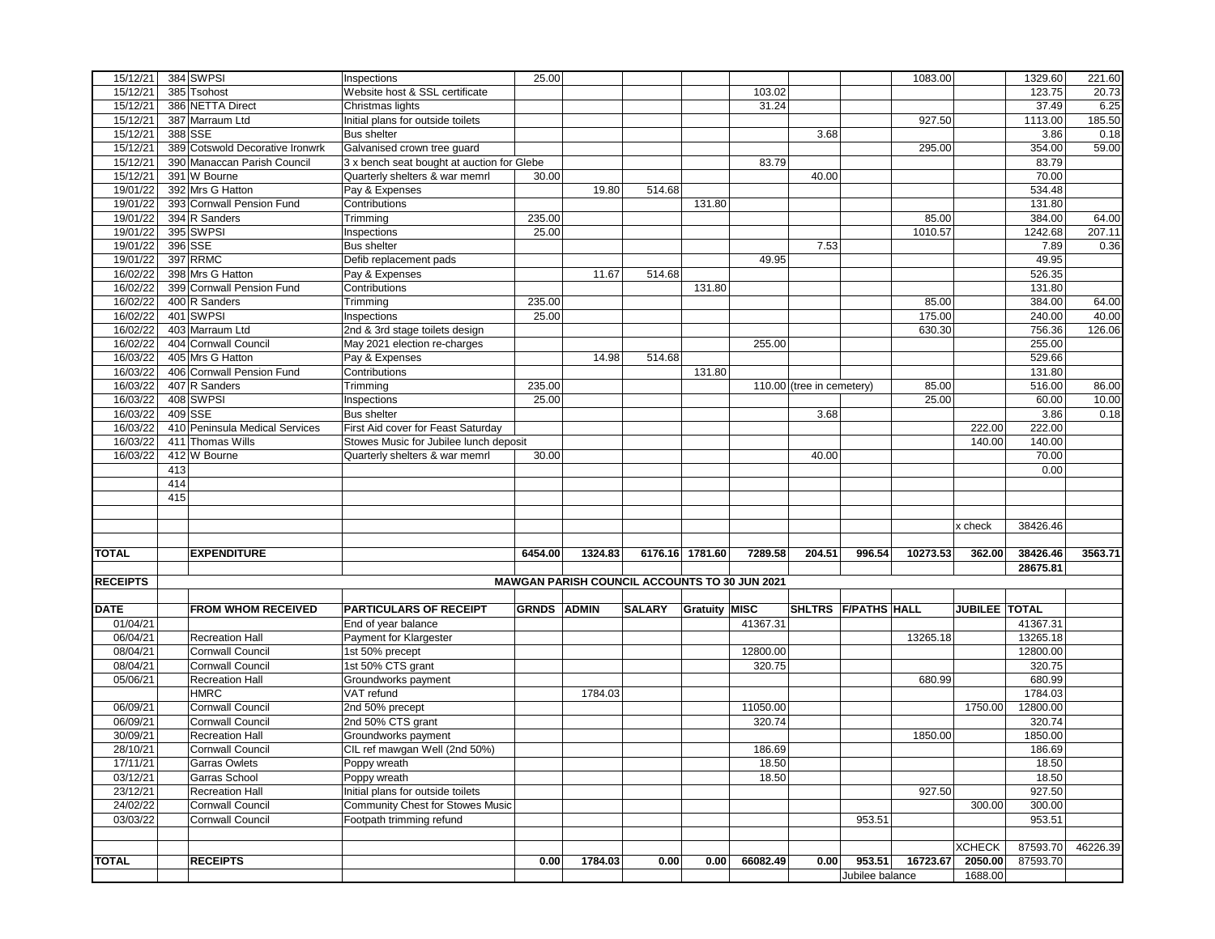|                 |     | 384 SWPSI                       |                                            | 25.00              |                                                      |               |                      |          |                           |                     | 1083.00  |               |          |          |
|-----------------|-----|---------------------------------|--------------------------------------------|--------------------|------------------------------------------------------|---------------|----------------------|----------|---------------------------|---------------------|----------|---------------|----------|----------|
| 15/12/21        |     |                                 | Inspections                                |                    |                                                      |               |                      |          |                           |                     |          |               | 1329.60  | 221.60   |
| 15/12/21        |     | 385 Tsohost                     | Website host & SSL certificate             |                    |                                                      |               |                      | 103.02   |                           |                     |          |               | 123.75   | 20.73    |
| 15/12/21        |     | 386 NETTA Direct                | Christmas lights                           |                    |                                                      |               |                      | 31.24    |                           |                     |          |               | 37.49    | 6.25     |
| 15/12/21        |     | 387 Marraum Ltd                 | Initial plans for outside toilets          |                    |                                                      |               |                      |          |                           |                     | 927.50   |               | 1113.00  | 185.50   |
| 15/12/21        |     | 388 SSE                         | <b>Bus shelter</b>                         |                    |                                                      |               |                      |          | 3.68                      |                     |          |               | 3.86     | 0.18     |
| 15/12/21        |     | 389 Cotswold Decorative Ironwrk | Galvanised crown tree guard                |                    |                                                      |               |                      |          |                           |                     | 295.00   |               | 354.00   | 59.00    |
| 15/12/21        |     | 390 Manaccan Parish Council     | 3 x bench seat bought at auction for Glebe |                    |                                                      |               |                      | 83.79    |                           |                     |          |               | 83.79    |          |
| 15/12/21        |     | 391 W Bourne                    | Quarterly shelters & war memrl             | 30.00              |                                                      |               |                      |          | 40.00                     |                     |          |               | 70.00    |          |
| 19/01/22        |     | 392 Mrs G Hatton                | Pay & Expenses                             |                    | 19.80                                                | 514.68        |                      |          |                           |                     |          |               | 534.48   |          |
|                 |     |                                 |                                            |                    |                                                      |               |                      |          |                           |                     |          |               |          |          |
| 19/01/22        |     | 393 Cornwall Pension Fund       | Contributions                              |                    |                                                      |               | 131.80               |          |                           |                     |          |               | 131.80   |          |
| 19/01/22        |     | 394 R Sanders                   | Trimming                                   | 235.00             |                                                      |               |                      |          |                           |                     | 85.00    |               | 384.00   | 64.00    |
| 19/01/22        |     | 395 SWPSI                       | Inspections                                | 25.00              |                                                      |               |                      |          |                           |                     | 1010.57  |               | 1242.68  | 207.11   |
| 19/01/22        |     | 396 SSE                         | <b>Bus shelter</b>                         |                    |                                                      |               |                      |          | 7.53                      |                     |          |               | 7.89     | 0.36     |
| 19/01/22        |     | 397 RRMC                        | Defib replacement pads                     |                    |                                                      |               |                      | 49.95    |                           |                     |          |               | 49.95    |          |
| 16/02/22        |     | 398 Mrs G Hatton                | Pay & Expenses                             |                    | 11.67                                                | 514.68        |                      |          |                           |                     |          |               | 526.35   |          |
| 16/02/22        |     | 399 Cornwall Pension Fund       | Contributions                              |                    |                                                      |               | 131.80               |          |                           |                     |          |               | 131.80   |          |
| 16/02/22        |     | 400 R Sanders                   | Trimming                                   | 235.00             |                                                      |               |                      |          |                           |                     | 85.00    |               | 384.00   | 64.00    |
| 16/02/22        |     | 401 SWPSI                       | Inspections                                | 25.00              |                                                      |               |                      |          |                           |                     | 175.00   |               | 240.00   | 40.00    |
| 16/02/22        |     | 403 Marraum Ltd                 |                                            |                    |                                                      |               |                      |          |                           |                     | 630.30   |               | 756.36   | 126.06   |
|                 |     |                                 | 2nd & 3rd stage toilets design             |                    |                                                      |               |                      |          |                           |                     |          |               |          |          |
| 16/02/22        |     | 404 Cornwall Council            | May 2021 election re-charges               |                    |                                                      |               |                      | 255.00   |                           |                     |          |               | 255.00   |          |
| 16/03/22        |     | 405 Mrs G Hatton                | Pay & Expenses                             |                    | 14.98                                                | 514.68        |                      |          |                           |                     |          |               | 529.66   |          |
| 16/03/22        |     | 406 Cornwall Pension Fund       | Contributions                              |                    |                                                      |               | 131.80               |          |                           |                     |          |               | 131.80   |          |
| 16/03/22        |     | 407 R Sanders                   | Trimming                                   | 235.00             |                                                      |               |                      |          | 110.00 (tree in cemetery) |                     | 85.00    |               | 516.00   | 86.00    |
| 16/03/22        |     | 408 SWPSI                       | Inspections                                | 25.00              |                                                      |               |                      |          |                           |                     | 25.00    |               | 60.00    | 10.00    |
| 16/03/22        |     | 409 SSE                         | <b>Bus shelter</b>                         |                    |                                                      |               |                      |          | 3.68                      |                     |          |               | 3.86     | 0.18     |
| 16/03/22        |     | 410 Peninsula Medical Services  | First Aid cover for Feast Saturday         |                    |                                                      |               |                      |          |                           |                     |          | 222.00        | 222.00   |          |
| 16/03/22        |     | 411 Thomas Wills                | Stowes Music for Jubilee lunch deposit     |                    |                                                      |               |                      |          |                           |                     |          | 140.00        | 140.00   |          |
| 16/03/22        |     | 412 W Bourne                    | Quarterly shelters & war memrl             | 30.00              |                                                      |               |                      |          | 40.00                     |                     |          |               | 70.00    |          |
|                 | 413 |                                 |                                            |                    |                                                      |               |                      |          |                           |                     |          |               | 0.00     |          |
|                 |     |                                 |                                            |                    |                                                      |               |                      |          |                           |                     |          |               |          |          |
|                 | 414 |                                 |                                            |                    |                                                      |               |                      |          |                           |                     |          |               |          |          |
|                 | 415 |                                 |                                            |                    |                                                      |               |                      |          |                           |                     |          |               |          |          |
|                 |     |                                 |                                            |                    |                                                      |               |                      |          |                           |                     |          |               |          |          |
|                 |     |                                 |                                            |                    |                                                      |               |                      |          |                           |                     |          |               |          |          |
|                 |     |                                 |                                            |                    |                                                      |               |                      |          |                           |                     |          | x check       | 38426.46 |          |
|                 |     |                                 |                                            |                    |                                                      |               |                      |          |                           |                     |          |               |          |          |
| <b>TOTAL</b>    |     | <b>EXPENDITURE</b>              |                                            | 6454.00            | 1324.83                                              |               | 6176.16 1781.60      | 7289.58  | 204.51                    | 996.54              | 10273.53 | 362.00        | 38426.46 | 3563.71  |
|                 |     |                                 |                                            |                    |                                                      |               |                      |          |                           |                     |          |               | 28675.81 |          |
|                 |     |                                 |                                            |                    | <b>MAWGAN PARISH COUNCIL ACCOUNTS TO 30 JUN 2021</b> |               |                      |          |                           |                     |          |               |          |          |
| <b>RECEIPTS</b> |     |                                 |                                            |                    |                                                      |               |                      |          |                           |                     |          |               |          |          |
|                 |     |                                 |                                            |                    |                                                      |               |                      |          |                           |                     |          |               |          |          |
| <b>DATE</b>     |     | <b>FROM WHOM RECEIVED</b>       | <b>PARTICULARS OF RECEIPT</b>              | <b>GRNDS ADMIN</b> |                                                      | <b>SALARY</b> | <b>Gratuity MISC</b> |          |                           | SHLTRS F/PATHS HALL |          | JUBILEE TOTAL |          |          |
| 01/04/21        |     |                                 | End of year balance                        |                    |                                                      |               |                      | 41367.31 |                           |                     |          |               | 41367.31 |          |
| 06/04/21        |     | <b>Recreation Hall</b>          | Payment for Klargester                     |                    |                                                      |               |                      |          |                           |                     | 13265.18 |               | 13265.18 |          |
| 08/04/21        |     | <b>Cornwall Council</b>         | 1st 50% precept                            |                    |                                                      |               |                      | 12800.00 |                           |                     |          |               | 12800.00 |          |
| 08/04/21        |     | <b>Cornwall Council</b>         | 1st 50% CTS grant                          |                    |                                                      |               |                      | 320.75   |                           |                     |          |               | 320.75   |          |
| 05/06/21        |     | <b>Recreation Hall</b>          | Groundworks payment                        |                    |                                                      |               |                      |          |                           |                     | 680.99   |               | 680.99   |          |
|                 |     | <b>HMRC</b>                     | VAT refund                                 |                    | 1784.03                                              |               |                      |          |                           |                     |          |               | 1784.03  |          |
| 06/09/21        |     | Cornwall Council                | 2nd 50% precept                            |                    |                                                      |               |                      | 11050.00 |                           |                     |          | 1750.00       | 12800.00 |          |
| 06/09/21        |     | <b>Cornwall Council</b>         | 2nd 50% CTS grant                          |                    |                                                      |               |                      | 320.74   |                           |                     |          |               | 320.74   |          |
| 30/09/21        |     | <b>Recreation Hall</b>          | Groundworks payment                        |                    |                                                      |               |                      |          |                           |                     | 1850.00  |               |          |          |
|                 |     |                                 |                                            |                    |                                                      |               |                      |          |                           |                     |          |               | 1850.00  |          |
| 28/10/21        |     | <b>Cornwall Council</b>         | CIL ref mawgan Well (2nd 50%)              |                    |                                                      |               |                      | 186.69   |                           |                     |          |               | 186.69   |          |
| 17/11/21        |     | Garras Owlets                   | Poppy wreath                               |                    |                                                      |               |                      | 18.50    |                           |                     |          |               | 18.50    |          |
| 03/12/21        |     | Garras School                   | Poppy wreath                               |                    |                                                      |               |                      | 18.50    |                           |                     |          |               | 18.50    |          |
| 23/12/21        |     | Recreation Hall                 | Initial plans for outside toilets          |                    |                                                      |               |                      |          |                           |                     | 927.50   |               | 927.50   |          |
| 24/02/22        |     | Cornwall Council                | Community Chest for Stowes Music           |                    |                                                      |               |                      |          |                           |                     |          | 300.00        | 300.00   |          |
| 03/03/22        |     | Cornwall Council                | Footpath trimming refund                   |                    |                                                      |               |                      |          |                           | 953.51              |          |               | 953.51   |          |
|                 |     |                                 |                                            |                    |                                                      |               |                      |          |                           |                     |          |               |          |          |
|                 |     |                                 |                                            |                    |                                                      |               |                      |          |                           |                     |          | <b>XCHECK</b> | 87593.70 | 46226.39 |
| <b>TOTAL</b>    |     | <b>RECEIPTS</b>                 |                                            | 0.00               | 1784.03                                              | 0.00          | 0.00                 | 66082.49 | 0.00                      | 953.51              | 16723.67 | 2050.00       | 87593.70 |          |
|                 |     |                                 |                                            |                    |                                                      |               |                      |          |                           | Jubilee balance     |          | 1688.00       |          |          |